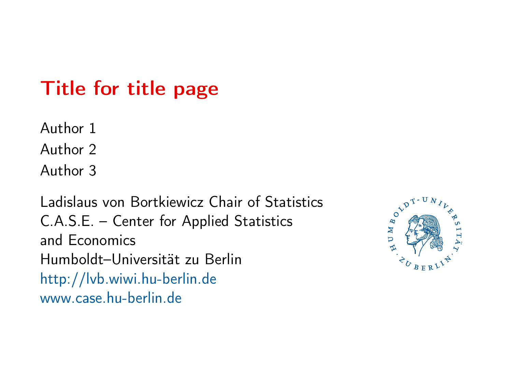## <span id="page-0-1"></span><span id="page-0-0"></span>Title for title page

Author 1

Author 2

Author 3

Ladislaus von Bortkiewicz Chair of Statistics C.A.S.E. – Center for Applied Statistics and Economics Humboldt–Universität zu Berlin <http://lvb.wiwi.hu-berlin.de> <www.case.hu-berlin.de>

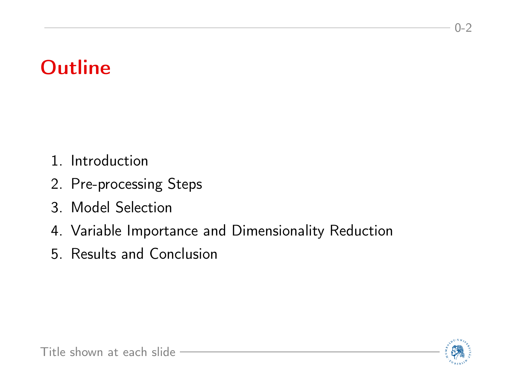- <span id="page-1-0"></span>1. Introduction
- 2. Pre-processing Steps
- 3. Model Selection
- 4. Variable Importance and Dimensionality Reduction
- 5. Results and Conclusion



 $0 - 2$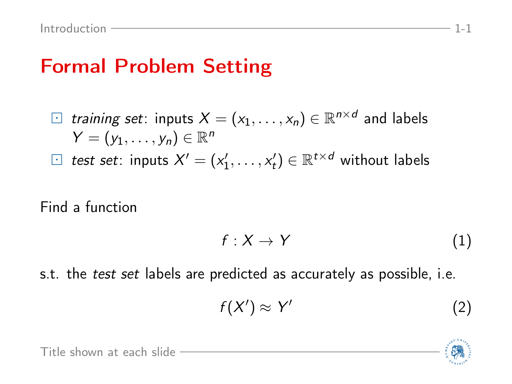#### Formal Problem Setting

\n- □ training set: inputs 
$$
X = (x_1, \ldots, x_n) \in \mathbb{R}^{n \times d}
$$
 and labels  $Y = (y_1, \ldots, y_n) \in \mathbb{R}^n$
\n- □ test set: inputs  $X' = (x'_1, \ldots, x'_t) \in \mathbb{R}^{t \times d}$  without labels
\n

Find a function

$$
f: X \to Y \tag{1}
$$

s.t. the *test set* labels are predicted as accurately as possible, i.e.

$$
f(X') \approx Y' \tag{2}
$$



[Title shown at each slide](#page-1-0)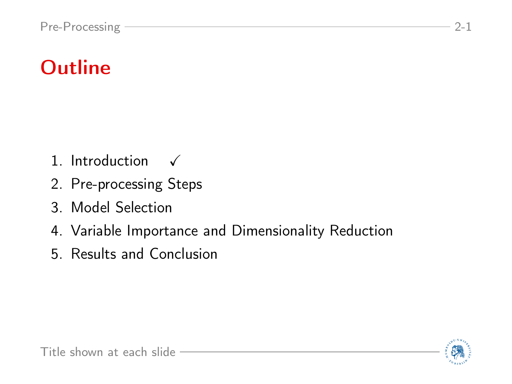- 1. Introduction  $\checkmark$
- 2. Pre-processing Steps
- 3. Model Selection
- 4. Variable Importance and Dimensionality Reduction
- 5. Results and Conclusion

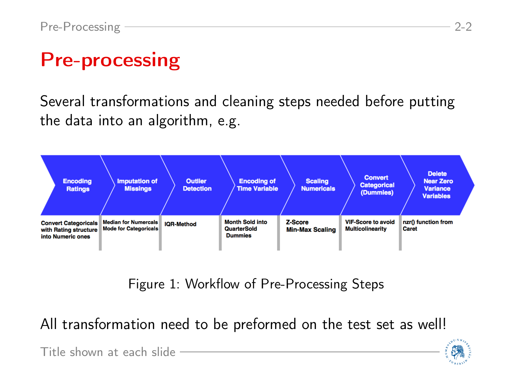# Pre-processing

Several transformations and cleaning steps needed before putting the data into an algorithm, e.g.



Figure 1: Workflow of Pre-Processing Steps

All transformation need to be preformed on the test set as well!

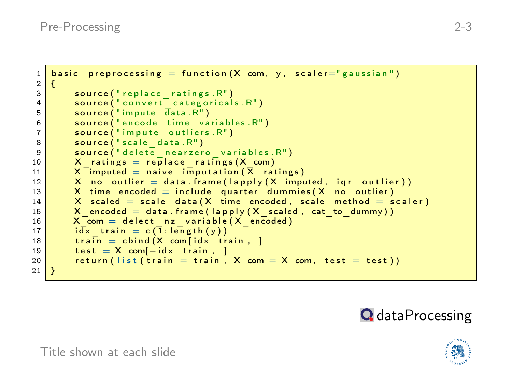```
1 basic preprocessing = function (X \text{ com}, y, scale r=" gaussian")\frac{2}{3}3 source ("replace_ratings.R")<br>4 source ("convert_categorical
  4 source ("convert categoricals . R")<br>5 source ("impute data . R")
  \begin{array}{c|c} 5 & \textbf{source}(\texttt{"impute\_data.R"}) \ \hline \textbf{source}(\texttt{"encode\_time via}) \end{array}6 \blacksquare source ("encode\bar{\smash{c}} time variables. R")<br>
\blacksquare source ("impute outliers. R")
  7 source ("impute outliers. R")<br>8 source ("scale data. R")
  8 source ("scale data.R")<br>9 source ("delete nearzer
9 source ("delete nearzero variables. R")<br>10 X ratings = replace ratings (X com)
                X ratings = replace ratings (X \text{ com})11 X-imputed = naive_imputation (X-ratings)<br>12 X-no outlier = data, frame (lapply (X)-impu
12 X = \begin{bmatrix} 12 \\ 13 \end{bmatrix} X = \begin{bmatrix} 12 \\ 13 \end{bmatrix} X = \begin{bmatrix} 12 \\ 13 \end{bmatrix} X = \begin{bmatrix} 12 \\ 13 \end{bmatrix} X = \begin{bmatrix} 14 \\ 14 \end{bmatrix} X = \begin{bmatrix} 14 \\ 14 \end{bmatrix} X = \begin{bmatrix} 14 \\ 14 \end{bmatrix} X = \begin{bmatrix} 14 \\ 14 \end{bmatrix} X = \begin{bmatrix} 14 \\ 14 \end{bmatrix} XX^{\dagger}time encoded = include quarter dummies (X no outlier)
14 X scaled = scale data (X time encoded, scale method = scaler)<br>15 X encoded = data frame (lapply (X) scaled, cat to dummy))
                X encoded = data, frame (\sqrt{X} scaled, cat to dummy))
16 X_{\text{com}} = delect nz variable (X_{\text{encoded}})<br>17 \text{id}_X train = c(1:length (v))
                i\overline{dx} train = c (1: length (y))
18 train = cbind (X com[ id x train, ]
\begin{array}{c|c} 19 & \text{test} = \text{X} \text{ com}[-i\overline{dx} \text{ train}, 1] \\ \hline 20 & \text{return} (|i\overline{s}t(t\overline{rain}) = \overline{t}r\overline{ain}, 1] \end{array}return ( | \overline{1}st ( train = train , X com = X com, test = test ) )21 }
```


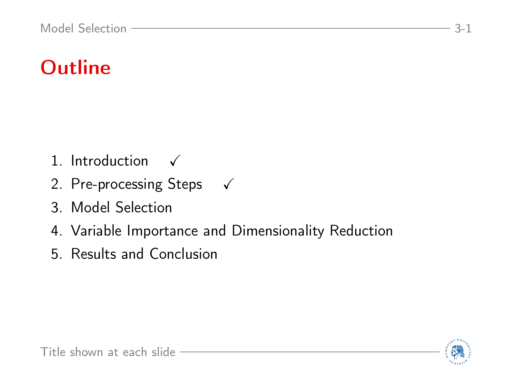- 1. Introduction  $\checkmark$
- 2. Pre-processing Steps  $\checkmark$
- 3. Model Selection
- 4. Variable Importance and Dimensionality Reduction
- 5. Results and Conclusion

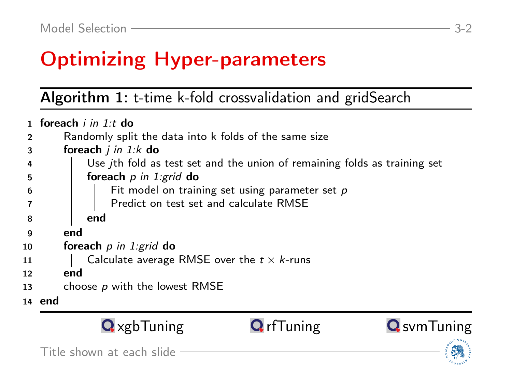# Optimizing Hyper-parameters

Algorithm 1: t-time k-fold crossvalidation and gridSearch

|     | foreach <i>i in 1:t</i> do |                                                                                  |                                                    |  |  |  |
|-----|----------------------------|----------------------------------------------------------------------------------|----------------------------------------------------|--|--|--|
|     |                            | Randomly split the data into k folds of the same size                            |                                                    |  |  |  |
| 3   |                            | foreach $j$ in 1: $k$ do                                                         |                                                    |  |  |  |
| 4   |                            | Use <i>ith</i> fold as test set and the union of remaining folds as training set |                                                    |  |  |  |
| 5   |                            | foreach $p$ in 1: grid do                                                        |                                                    |  |  |  |
| 6   |                            |                                                                                  | Fit model on training set using parameter set $p$  |  |  |  |
|     |                            |                                                                                  | Predict on test set and calculate RMSE             |  |  |  |
| 8   |                            | end                                                                              |                                                    |  |  |  |
| - 9 |                            | end                                                                              |                                                    |  |  |  |
| 10  |                            | foreach $p$ in 1: grid do                                                        |                                                    |  |  |  |
| 11  |                            |                                                                                  | Calculate average RMSE over the $t \times k$ -runs |  |  |  |
| 12  |                            | end                                                                              |                                                    |  |  |  |
| 13  |                            |                                                                                  | choose p with the lowest RMSE                      |  |  |  |
|     | 14 end                     |                                                                                  |                                                    |  |  |  |



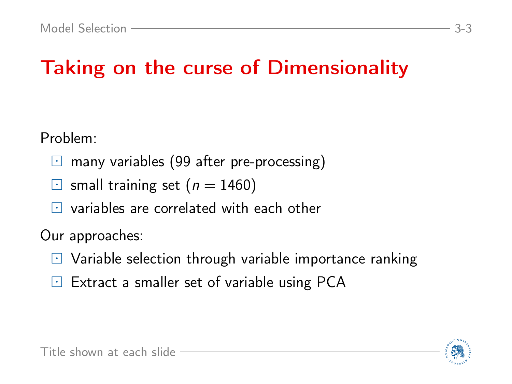# Taking on the curse of Dimensionality

Problem:

- $\Box$  many variables (99 after pre-processing)
- $\Box$  small training set ( $n = 1460$ )
- $\Box$  variables are correlated with each other

Our approaches:

- $\Box$  Variable selection through variable importance ranking
- $E$  Extract a smaller set of variable using PCA

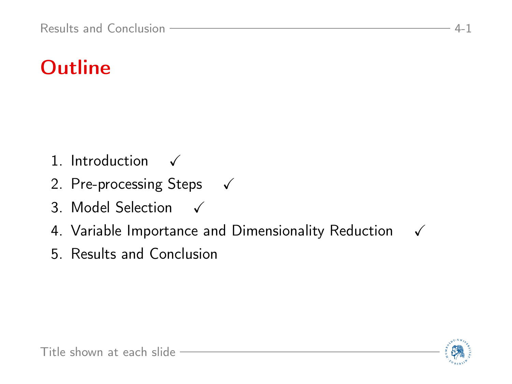- 1. Introduction  $\checkmark$
- 2. Pre-processing Steps  $\checkmark$
- 3. Model Selection  $\checkmark$
- 4. Variable Importance and Dimensionality Reduction  $\checkmark$
- 5. Results and Conclusion

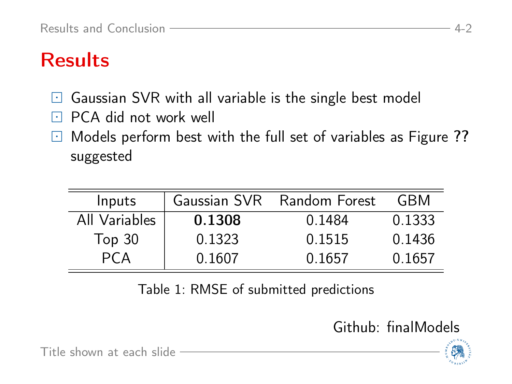## **Results**

- $\boxdot$  Gaussian SVR with all variable is the single best model
- $\Box$  PCA did not work well
- $\Box$  Models perform best with the full set of variables as Figure [??](#page-0-1) suggested

| Inputs            |        | Gaussian SVR Random Forest | GBM    |
|-------------------|--------|----------------------------|--------|
| All Variables     | 0.1308 | 0.1484                     | 0.1333 |
| Top <sub>30</sub> | 0.1323 | 0.1515                     | 0.1436 |
|                   | 0.1607 | 0.1657                     | 0.1657 |

Table 1: RMSE of submitted predictions

[Github: finalModels](https://github.com/koehnden/SPL16/blob/master/finalModels.R)



[Title shown at each slide](#page-0-0)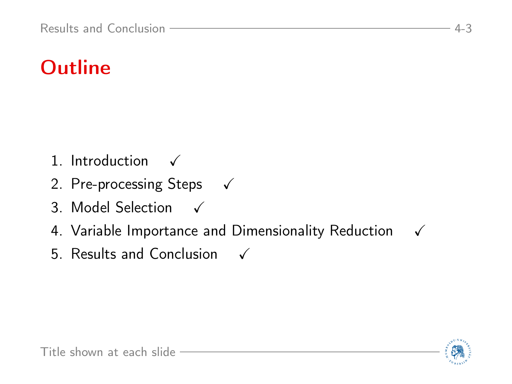- 1. Introduction  $\checkmark$
- 2. Pre-processing Steps  $\checkmark$
- 3. Model Selection  $\checkmark$
- 4. Variable Importance and Dimensionality Reduction  $\checkmark$
- 5. Results and Conclusion  $\checkmark$

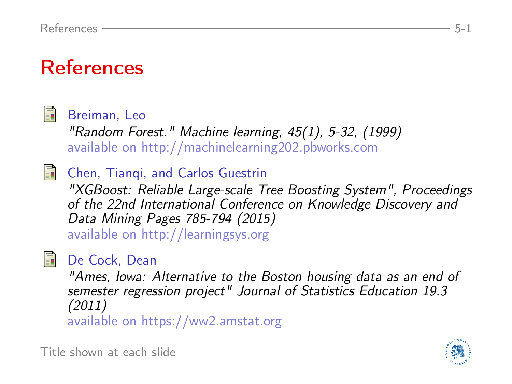#### References



Breiman, Leo

"Random Forest." Machine learning, 45(1), 5-32, (1999) available on [http://machinelearning202.pbworks.com](http://machinelearning202.pbworks.com/w/file/fetch/60606349/breiman_randomforests.pdf)

**Chen, Tiangi, and Carlos Guestrin** 

"XGBoost: Reliable Large-scale Tree Boosting System", Proceedings of the 22nd International Conference on Knowledge Discovery and Data Mining Pages 785-794 (2015) available on [http://learningsys.org](http://learningsys.org/papers/LearningSys_2015_paper_32.pdf)

#### De Cock, Dean

"Ames, Iowa: Alternative to the Boston housing data as an end of semester regression project" Journal of Statistics Education 19.3 (2011) available on [https://ww2.amstat.org](https://ww2.amstat.org/publications/jse/v19n3/decock.pdf)